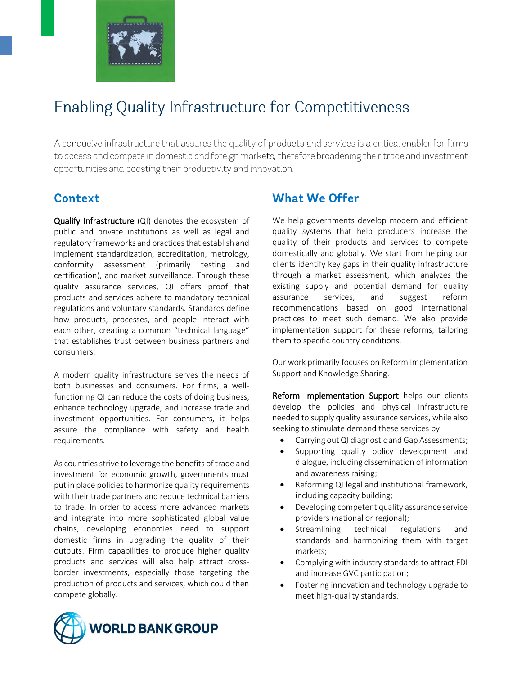

# **Enabling Quality Infrastructure for Competitiveness**

A conducive infrastructure that assures the quality of products and services is a critical enabler for firms to access and compete in domestic and foreign markets, therefore broadening their trade and investment opportunities and boosting their productivity and innovation.

# Context

Qualify Infrastructure (QI) denotes the ecosystem of public and private institutions as well as legal and regulatory frameworks and practicesthat establish and implement standardization, accreditation, metrology, conformity assessment (primarily testing and certification), and market surveillance. Through these quality assurance services, QI offers proof that products and services adhere to mandatory technical regulations and voluntary standards. Standards define how products, processes, and people interact with each other, creating a common "technical language" that establishes trust between business partners and consumers.

A modern quality infrastructure serves the needs of both businesses and consumers. For firms, a wellfunctioning QI can reduce the costs of doing business, enhance technology upgrade, and increase trade and investment opportunities. For consumers, it helps assure the compliance with safety and health requirements.

As countries strive to leverage the benefits of trade and investment for economic growth, governments must put in place policies to harmonize quality requirements with their trade partners and reduce technical barriers to trade. In order to access more advanced markets and integrate into more sophisticated global value chains, developing economies need to support domestic firms in upgrading the quality of their outputs. Firm capabilities to produce higher quality products and services will also help attract crossborder investments, especially those targeting the production of products and services, which could then compete globally.

### **What We Offer**

We help governments develop modern and efficient quality systems that help producers increase the quality of their products and services to compete domestically and globally. We start from helping our clients identify key gaps in their quality infrastructure through a market assessment, which analyzes the existing supply and potential demand for quality assurance services, and suggest reform recommendations based on good international practices to meet such demand. We also provide implementation support for these reforms, tailoring them to specific country conditions.

Our work primarily focuses on Reform Implementation Support and Knowledge Sharing.

Reform Implementation Support helps our clients develop the policies and physical infrastructure needed to supply quality assurance services, while also seeking to stimulate demand these services by:

- Carrying out QI diagnostic and Gap Assessments;
- Supporting quality policy development and dialogue, including dissemination of information and awareness raising;
- Reforming QI legal and institutional framework, including capacity building;
- Developing competent quality assurance service providers (national or regional);
- Streamlining technical regulations and standards and harmonizing them with target markets;
- Complying with industry standards to attract FDI and increase GVC participation;
- Fostering innovation and technology upgrade to meet high-quality standards.